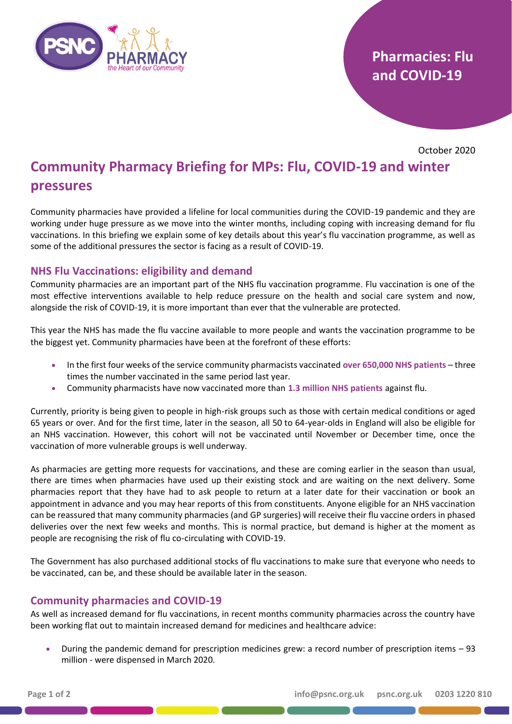

# **Pharmacies: Flu and COVID-19**

October 2020

# **Community Pharmacy Briefing for MPs: Flu, COVID-19 and winter pressures**

Community pharmacies have provided a lifeline for local communities during the COVID-19 pandemic and they are working under huge pressure as we move into the winter months, including coping with increasing demand for flu vaccinations. In this briefing we explain some of key details about this year's flu vaccination programme, as well as some of the additional pressures the sector is facing as a result of COVID-19.

## **NHS Flu Vaccinations: eligibility and demand**

Community pharmacies are an important part of the NHS flu vaccination programme. Flu vaccination is one of the most effective interventions available to help reduce pressure on the health and social care system and now, alongside the risk of COVID-19, it is more important than ever that the vulnerable are protected.

This year the NHS has made the flu vaccine available to more people and wants the vaccination programme to be the biggest yet. Community pharmacies have been at the forefront of these efforts:

- In the first four weeks of the service community pharmacists vaccinated **over 650,000 NHS patients** three times the number vaccinated in the same period last year.
- Community pharmacists have now vaccinated more than **1.3 million NHS patients** against flu.

Currently, priority is being given to people in high-risk groups such as those with certain medical conditions or aged 65 years or over. And for the first time, later in the season, all 50 to 64-year-olds in England will also be eligible for an NHS vaccination. However, this cohort will not be vaccinated until November or December time, once the vaccination of more vulnerable groups is well underway.

As pharmacies are getting more requests for vaccinations, and these are coming earlier in the season than usual, there are times when pharmacies have used up their existing stock and are waiting on the next delivery. Some pharmacies report that they have had to ask people to return at a later date for their vaccination or book an appointment in advance and you may hear reports of this from constituents. Anyone eligible for an NHS vaccination can be reassured that many community pharmacies (and GP surgeries) will receive their flu vaccine orders in phased deliveries over the next few weeks and months. This is normal practice, but demand is higher at the moment as people are recognising the risk of flu co-circulating with COVID-19.

The Government has also purchased additional stocks of flu vaccinations to make sure that everyone who needs to be vaccinated, can be, and these should be available later in the season.

### **Community pharmacies and COVID-19**

As well as increased demand for flu vaccinations, in recent months community pharmacies across the country have been working flat out to maintain increased demand for medicines and healthcare advice:

• During the pandemic demand for prescription medicines grew: a record number of prescription items – 93 million - were dispensed in March 2020.